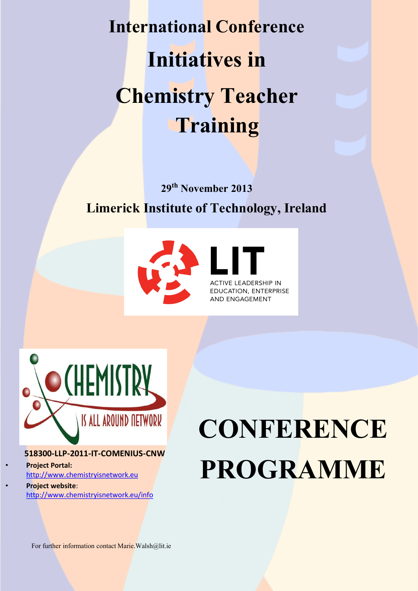**International Conference Initiatives in Chemistry Teacher Training**

## **29th November 2013 Limerick Institute of Technology, Ireland**



CATION, ENTERPRISE **ND ENGAGEMENT** 



#### **518300-LLP-2011-IT-COMENIUS-CNW**

• **Project Portal:**  [http://www.chemistryisnetwork.eu](http://www.chemistryisnetwork.eu/)

• **Project website**: <http://www.chemistryisnetwork.eu/info>

# **CONFERENCE PROGRAMME**

For further information contact Marie. Walsh@lit.ie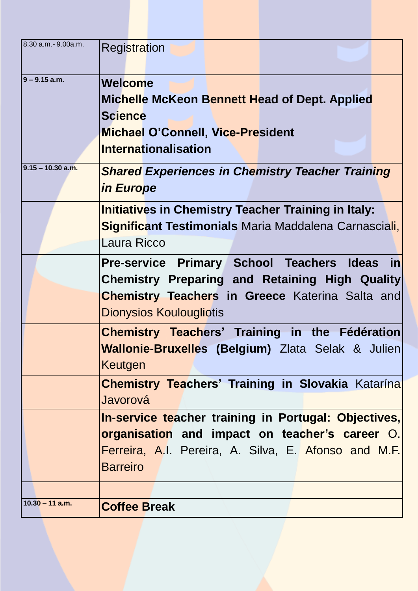| 8.30 a.m.- 9.00a.m. | <b>Registration</b>                                                      |  |  |  |  |  |  |  |
|---------------------|--------------------------------------------------------------------------|--|--|--|--|--|--|--|
| 9 – 9.15 a.m.       | Welcome                                                                  |  |  |  |  |  |  |  |
|                     | <b>Michelle McKeon Bennett Head of Dept. Applied</b>                     |  |  |  |  |  |  |  |
|                     | <b>Science</b>                                                           |  |  |  |  |  |  |  |
|                     | <b>Michael O'Connell, Vice-President</b>                                 |  |  |  |  |  |  |  |
|                     | <b>Internationalisation</b>                                              |  |  |  |  |  |  |  |
|                     |                                                                          |  |  |  |  |  |  |  |
| 9.15 – 10.30 a.m.   | <b>Shared Experiences in Chemistry Teacher Training</b>                  |  |  |  |  |  |  |  |
|                     | in Europe                                                                |  |  |  |  |  |  |  |
|                     | <b>Initiatives in Chemistry Teacher Training in Italy:</b>               |  |  |  |  |  |  |  |
|                     | Significant Testimonials Maria Maddalena Carnasciali,                    |  |  |  |  |  |  |  |
|                     | Laura Ricco                                                              |  |  |  |  |  |  |  |
|                     | $\vert$ in<br><b>Pre-service Primary School Teachers</b><br><b>Ideas</b> |  |  |  |  |  |  |  |
|                     | <b>Chemistry Preparing and Retaining High Quality</b>                    |  |  |  |  |  |  |  |
|                     | <b>Chemistry Teachers in Greece</b> Katerina Salta and                   |  |  |  |  |  |  |  |
|                     | <b>Dionysios Koulougliotis</b>                                           |  |  |  |  |  |  |  |
|                     | <b>Chemistry Teachers' Training in the Fédération</b>                    |  |  |  |  |  |  |  |
|                     | <b>Wallonie-Bruxelles (Belgium)</b> Zlata Selak & Julien                 |  |  |  |  |  |  |  |
|                     | Keutgen                                                                  |  |  |  |  |  |  |  |
|                     | <b>Chemistry Teachers' Training in Slovakia Katarina</b>                 |  |  |  |  |  |  |  |
|                     | Javorová                                                                 |  |  |  |  |  |  |  |
|                     | In-service teacher training in Portugal: Objectives,                     |  |  |  |  |  |  |  |
|                     | organisation and impact on teacher's career O.                           |  |  |  |  |  |  |  |
|                     | Ferreira, A.I. Pereira, A. Silva, E. Afonso and M.F.                     |  |  |  |  |  |  |  |
|                     | <b>Barreiro</b>                                                          |  |  |  |  |  |  |  |
|                     |                                                                          |  |  |  |  |  |  |  |
|                     |                                                                          |  |  |  |  |  |  |  |
| $10.30 - 11$ a.m.   | <b>Coffee Break</b>                                                      |  |  |  |  |  |  |  |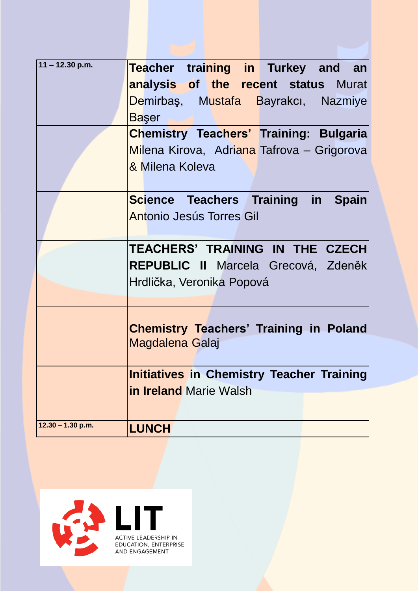| $11 - 12.30$ p.m.             | Teacher training in Turkey and an                                       |  |  |  |  |  |  |  |
|-------------------------------|-------------------------------------------------------------------------|--|--|--|--|--|--|--|
|                               | analysis of the recent status Murat                                     |  |  |  |  |  |  |  |
|                               | Demirbaş, Mustafa Bayrakcı, Nazmiye                                     |  |  |  |  |  |  |  |
|                               | <b>Başer</b>                                                            |  |  |  |  |  |  |  |
|                               | <b>Chemistry Teachers' Training: Bulgaria</b>                           |  |  |  |  |  |  |  |
|                               | Milena Kirova, Adriana Tafrova – Grigoroval                             |  |  |  |  |  |  |  |
|                               | & Milena Koleva                                                         |  |  |  |  |  |  |  |
|                               | <b>Science Teachers Training in Spain</b>                               |  |  |  |  |  |  |  |
|                               | Antonio Jesús Torres Gil                                                |  |  |  |  |  |  |  |
|                               | TEACHERS' TRAINING IN THE CZECH                                         |  |  |  |  |  |  |  |
|                               | REPUBLIC II Marcela Grecová, Zdeněk                                     |  |  |  |  |  |  |  |
|                               | Hrdlička, Veronika Popová                                               |  |  |  |  |  |  |  |
|                               |                                                                         |  |  |  |  |  |  |  |
|                               | <b>Chemistry Teachers' Training in Poland</b><br><b>Magdalena Galaj</b> |  |  |  |  |  |  |  |
|                               | <b>Initiatives in Chemistry Teacher Training</b>                        |  |  |  |  |  |  |  |
| <b>in Ireland Marie Walsh</b> |                                                                         |  |  |  |  |  |  |  |
|                               |                                                                         |  |  |  |  |  |  |  |
| $12.30 - 1.30$ p.m.           | <b>LUNCH</b>                                                            |  |  |  |  |  |  |  |

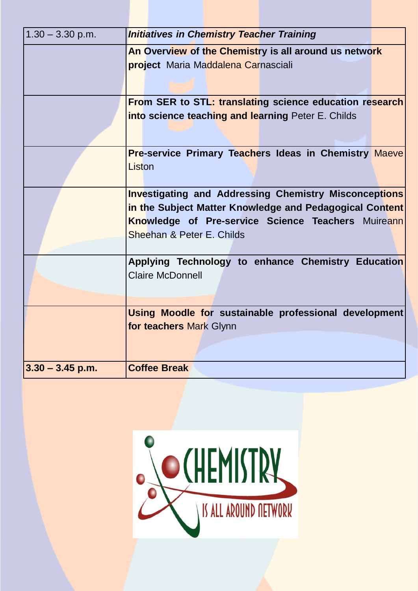| $1.30 - 3.30$ p.m.                                           | <b>Initiatives in Chemistry Teacher Training</b>                                 |  |  |  |  |  |  |
|--------------------------------------------------------------|----------------------------------------------------------------------------------|--|--|--|--|--|--|
|                                                              | An Overview of the Chemistry is all around us network                            |  |  |  |  |  |  |
|                                                              | <b>project</b> Maria Maddalena Carnasciali                                       |  |  |  |  |  |  |
|                                                              |                                                                                  |  |  |  |  |  |  |
|                                                              |                                                                                  |  |  |  |  |  |  |
|                                                              | From SER to STL: translating science education research                          |  |  |  |  |  |  |
|                                                              | into science teaching and learning Peter E. Childs                               |  |  |  |  |  |  |
|                                                              |                                                                                  |  |  |  |  |  |  |
|                                                              |                                                                                  |  |  |  |  |  |  |
|                                                              | <b>Pre-service Primary Teachers Ideas in Chemistry Maeve</b>                     |  |  |  |  |  |  |
|                                                              | Liston                                                                           |  |  |  |  |  |  |
|                                                              |                                                                                  |  |  |  |  |  |  |
| <b>Investigating and Addressing Chemistry Misconceptions</b> |                                                                                  |  |  |  |  |  |  |
|                                                              | in the Subject Matter Knowledge and Pedagogical Content                          |  |  |  |  |  |  |
|                                                              | Knowledge of Pre-service Science Teachers Muireann                               |  |  |  |  |  |  |
|                                                              | Sheehan & Peter E. Childs                                                        |  |  |  |  |  |  |
|                                                              |                                                                                  |  |  |  |  |  |  |
|                                                              | Applying Technology to enhance Chemistry Education                               |  |  |  |  |  |  |
|                                                              | <b>Claire McDonnell</b>                                                          |  |  |  |  |  |  |
|                                                              |                                                                                  |  |  |  |  |  |  |
|                                                              |                                                                                  |  |  |  |  |  |  |
|                                                              | Using Moodle for sustainable professional development<br>for teachers Mark Glynn |  |  |  |  |  |  |
|                                                              |                                                                                  |  |  |  |  |  |  |
|                                                              |                                                                                  |  |  |  |  |  |  |
|                                                              |                                                                                  |  |  |  |  |  |  |
| $3.30 - 3.45$ p.m.                                           | <b>Coffee Break</b>                                                              |  |  |  |  |  |  |

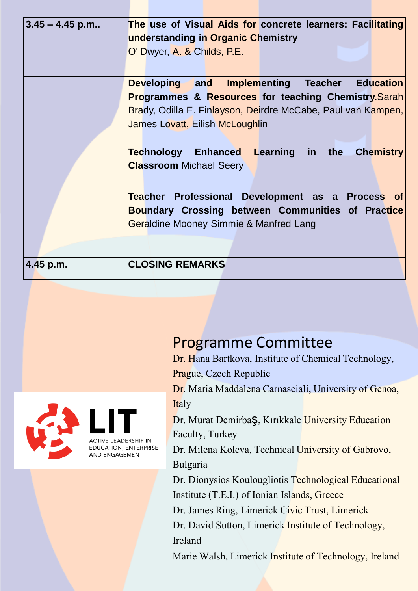| $3.45 - 4.45$ p.m |                                                          |                                    |  |  |  |                                     | The use of Visual Aids for concrete learners: Facilitating     |
|-------------------|----------------------------------------------------------|------------------------------------|--|--|--|-------------------------------------|----------------------------------------------------------------|
|                   |                                                          | understanding in Organic Chemistry |  |  |  |                                     |                                                                |
|                   |                                                          | O' Dwyer, A. & Childs, P.E.        |  |  |  |                                     |                                                                |
|                   |                                                          |                                    |  |  |  |                                     |                                                                |
|                   |                                                          |                                    |  |  |  |                                     |                                                                |
|                   |                                                          | <b>Developing</b> and              |  |  |  |                                     | Implementing Teacher Education                                 |
|                   |                                                          |                                    |  |  |  |                                     | <b>Programmes &amp; Resources for teaching Chemistry.Sarah</b> |
|                   |                                                          |                                    |  |  |  |                                     | Brady, Odilla E. Finlayson, Deirdre McCabe, Paul van Kampen,   |
|                   |                                                          | James Lovatt, Eilish McLoughlin    |  |  |  |                                     |                                                                |
|                   |                                                          |                                    |  |  |  |                                     |                                                                |
|                   |                                                          |                                    |  |  |  | Technology Enhanced Learning in the | <b>Chemistry</b>                                               |
|                   |                                                          | <b>Classroom Michael Seery</b>     |  |  |  |                                     |                                                                |
|                   |                                                          |                                    |  |  |  |                                     |                                                                |
|                   |                                                          |                                    |  |  |  |                                     | Teacher Professional Development as a Process of               |
|                   | <b>Boundary Crossing between Communities of Practice</b> |                                    |  |  |  |                                     |                                                                |
|                   | Geraldine Mooney Simmie & Manfred Lang                   |                                    |  |  |  |                                     |                                                                |
|                   |                                                          |                                    |  |  |  |                                     |                                                                |
|                   |                                                          |                                    |  |  |  |                                     |                                                                |
| 4.45 p.m.         |                                                          | <b>CLOSING REMARKS</b>             |  |  |  |                                     |                                                                |



# Programme Committee

Dr. Hana Bartkova, Institute of Chemical Technology, Prague, Czech Republic

Dr. Maria Maddalena Carnasciali, University of Genoa, Italy

Dr. Murat DemirbaŞ, Kırıkkale University Education Faculty, Turkey

Dr. Milena Koleva, Technical University of Gabrovo, Bulgaria

Dr. Dionysios Koulougliotis Technological Educational Institute (T.E.I.) of Ionian Islands, Greece

Dr. James Ring, Limerick Civic Trust, Limerick

Dr. David Sutton, Limerick Institute of Technology, Ireland

Marie Walsh, Limerick Institute of Technology, Ireland